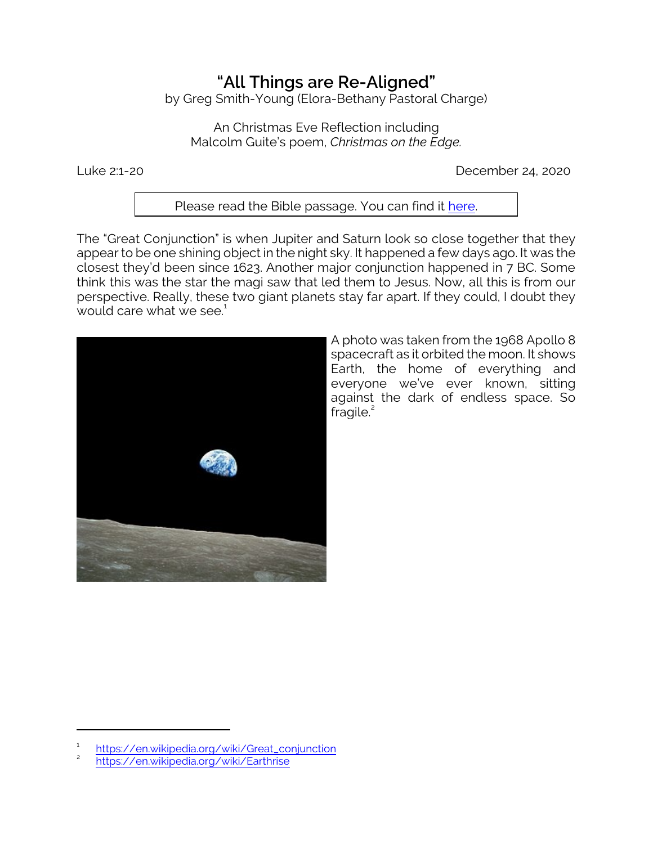## **"All Things are Re-Aligned"**

by Greg Smith-Young (Elora-Bethany Pastoral Charge)

An Christmas Eve Reflection including Malcolm Guite's poem, *Christmas on the Edge.*

Luke 2:1-20 December 24, 2020

## Please read the Bible passage. You can find it [here](https://www.biblegateway.com/passage/?search=Luke+2.1-20&version=CEB).

The "Great Conjunction" is when Jupiter and Saturn look so close together that they appear to be one shining object in the night sky. It happened a few days ago. It was the closest they'd been since 1623. Another major conjunction happened in 7 BC. Some think this was the star the magi saw that led them to Jesus. Now, all this is from our perspective. Really, these two giant planets stay far apart. If they could, I doubt they would care what we see. 1



A photo was taken from the 1968 Apollo 8 spacecraft as it orbited the moon. It shows Earth, the home of everything and everyone we've ever known, sitting against the dark of endless space. So fragile. $2$ 

<sup>1</sup> [https://en.wikipedia.org/wiki/Great\\_conjunction](https://en.wikipedia.org/wiki/Great_conjunction)

<sup>2</sup> <https://en.wikipedia.org/wiki/Earthrise>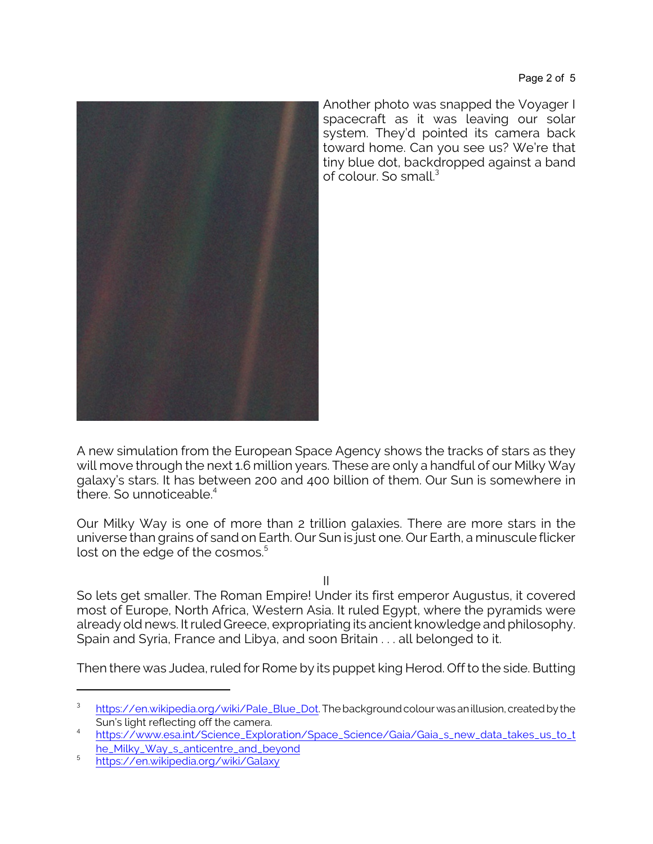

Another photo was snapped the Voyager I spacecraft as it was leaving our solar system. They'd pointed its camera back toward home. Can you see us? We're that tiny blue dot, backdropped against a band of colour. So small.<sup>3</sup>

A new simulation from the European Space Agency shows the tracks of stars as they will move through the next 1.6 million years. These are only a handful of our Milky Way galaxy's stars. It has between 200 and 400 billion of them. Our Sun is somewhere in there. So unnoticeable. $4$ 

Our Milky Way is one of more than 2 trillion galaxies. There are more stars in the universe than grains of sand on Earth. Our Sun is just one. Our Earth, a minuscule flicker lost on the edge of the cosmos.<sup>5</sup>

II

So lets get smaller. The Roman Empire! Under its first emperor Augustus, it covered most of Europe, North Africa, Western Asia. It ruled Egypt, where the pyramids were already old news. It ruled Greece, expropriating its ancient knowledge and philosophy. Spain and Syria, France and Libya, and soon Britain . . . all belonged to it.

Then there was Judea, ruled for Rome by its puppet king Herod. Off to the side. Butting

<sup>3</sup> [https://en.wikipedia.org/wiki/Pale\\_Blue\\_Dot](https://en.wikipedia.org/wiki/Pale_Blue_Dot). The background colour was an illusion, created by the Sun's light reflecting off the camera.

<sup>4</sup> [https://www.esa.int/Science\\_Exploration/Space\\_Science/Gaia/Gaia\\_s\\_new\\_data\\_takes\\_us\\_to\\_t](https://www.esa.int/Science_Exploration/Space_Science/Gaia/Gaia_s_new_data_takes_us_to_the_Milky_Way_s_anticentre_and_beyond) [he\\_Milky\\_Way\\_s\\_anticentre\\_and\\_beyond](https://www.esa.int/Science_Exploration/Space_Science/Gaia/Gaia_s_new_data_takes_us_to_the_Milky_Way_s_anticentre_and_beyond)

<sup>5</sup> <https://en.wikipedia.org/wiki/Galaxy>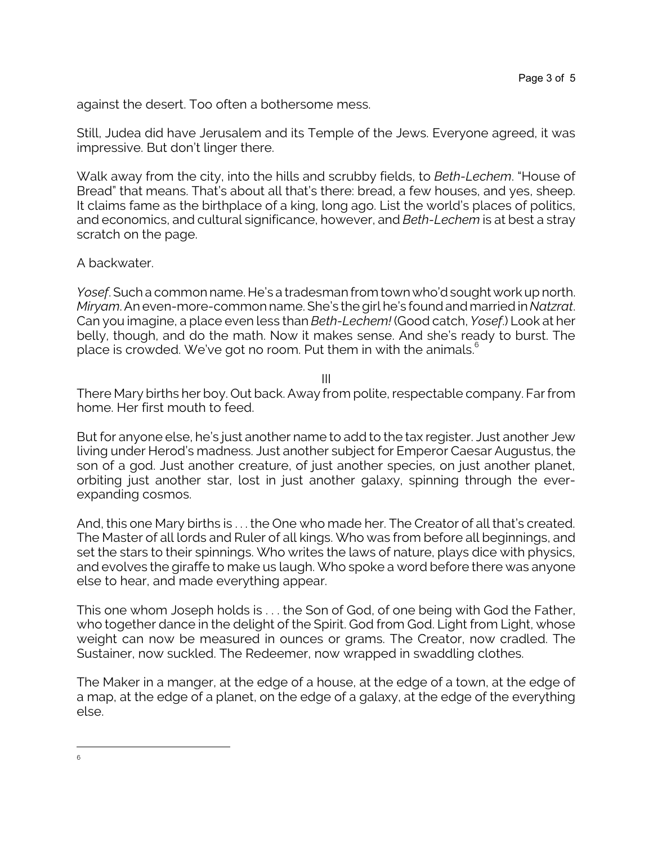against the desert. Too often a bothersome mess.

Still, Judea did have Jerusalem and its Temple of the Jews. Everyone agreed, it was impressive. But don't linger there.

Walk away from the city, into the hills and scrubby fields, to *Beth-Lechem*. "House of Bread" that means. That's about all that's there: bread, a few houses, and yes, sheep. It claims fame as the birthplace of a king, long ago. List the world's places of politics, and economics, and cultural significance, however, and *Beth-Lechem* is at best a stray scratch on the page.

## A backwater.

*Yosef*. Such a common name. He's a tradesman from town who'd sought work up north. *Miryam*. An even-more-common name. She's the girl he's found and married in *Natzrat*. Can you imagine, a place even less than *Beth-Lechem!* (Good catch, *Yosef*.) Look at her belly, though, and do the math. Now it makes sense. And she's ready to burst. The place is crowded. We've got no room. Put them in with the animals.<sup>6</sup>

III

There Mary births her boy. Out back. Away from polite, respectable company. Far from home. Her first mouth to feed.

But for anyone else, he's just another name to add to the tax register. Just another Jew living under Herod's madness. Just another subject for Emperor Caesar Augustus, the son of a god. Just another creature, of just another species, on just another planet, orbiting just another star, lost in just another galaxy, spinning through the everexpanding cosmos.

And, this one Mary births is . . . the One who made her. The Creator of all that's created. The Master of all lords and Ruler of all kings. Who was from before all beginnings, and set the stars to their spinnings. Who writes the laws of nature, plays dice with physics, and evolves the giraffe to make us laugh. Who spoke a word before there was anyone else to hear, and made everything appear.

This one whom Joseph holds is . . . the Son of God, of one being with God the Father, who together dance in the delight of the Spirit. God from God. Light from Light, whose weight can now be measured in ounces or grams. The Creator, now cradled. The Sustainer, now suckled. The Redeemer, now wrapped in swaddling clothes.

The Maker in a manger, at the edge of a house, at the edge of a town, at the edge of a map, at the edge of a planet, on the edge of a galaxy, at the edge of the everything else.

<sup>6</sup>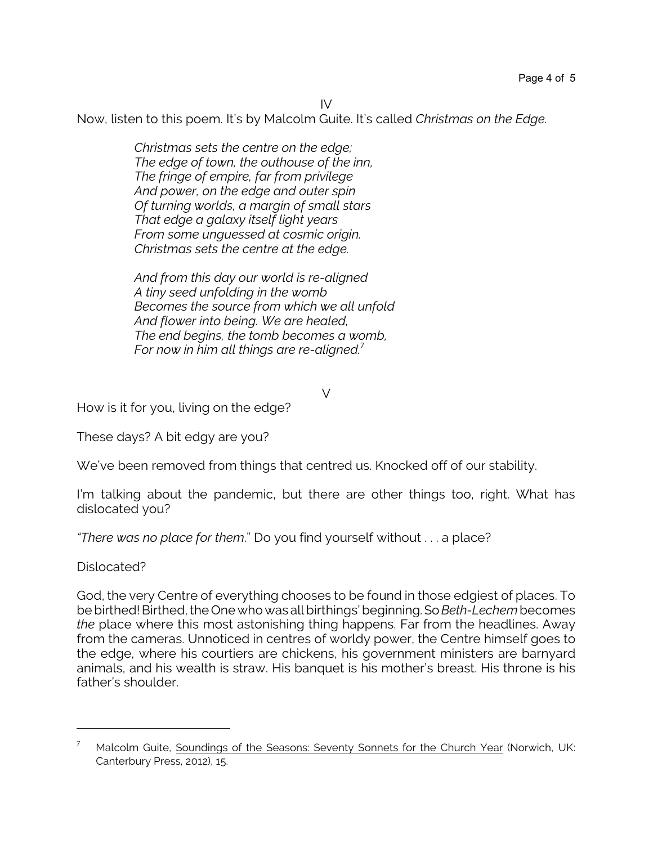IV

Now, listen to this poem. It's by Malcolm Guite. It's called *Christmas on the Edge.*

*Christmas sets the centre on the edge; The edge of town, the outhouse of the inn, The fringe of empire, far from privilege And power, on the edge and outer spin Of turning worlds, a margin of small stars That edge a galaxy itself light years From some unguessed at cosmic origin. Christmas sets the centre at the edge.*

*And from this day our world is re-aligned A tiny seed unfolding in the womb Becomes the source from which we all unfold And flower into being. We are healed, The end begins, the tomb becomes a womb, For now in him all things are re-aligned.*<sup>7</sup>

V

How is it for you, living on the edge?

These days? A bit edgy are you?

We've been removed from things that centred us. Knocked off of our stability.

I'm talking about the pandemic, but there are other things too, right. What has dislocated you?

*"There was no place for them*." Do you find yourself without . . . a place?

Dislocated?

God, the very Centre of everything chooses to be found in those edgiest of places. To be birthed! Birthed, the One who was all birthings' beginning. So Beth-Lechem becomes *the* place where this most astonishing thing happens. Far from the headlines. Away from the cameras. Unnoticed in centres of worldy power, the Centre himself goes to the edge, where his courtiers are chickens, his government ministers are barnyard animals, and his wealth is straw. His banquet is his mother's breast. His throne is his father's shoulder.

 $7$  Malcolm Guite, Soundings of the Seasons: Seventy Sonnets for the Church Year (Norwich, UK: Canterbury Press, 2012), 15.